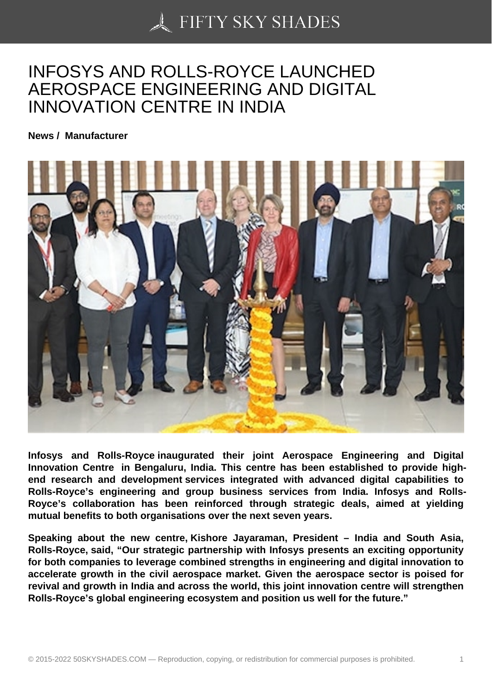## [INFOSYS AND ROLLS](https://50skyshades.com)-ROYCE LAUNCHED AEROSPACE ENGINEERING AND DIGITAL INNOVATION CENTRE IN INDIA

News / Manufacturer

Infosys and Rolls-Royce inaugurated their joint Aerospace Engineering and Digital Innovation Centre in Bengaluru, India. This centre has been established to provide highend research and development services integrated with advanced digital capabilities to Rolls-Royce's engineering and group business services from India. Infosys and Rolls-Royce's collaboration has been reinforced through strategic deals, aimed at yielding mutual benefits to both organisations over the next seven years.

Speaking about the new centre, Kishore Jayaraman, President – India and South Asia, Rolls-Royce, said, "Our strategic partnership with Infosys presents an exciting opportunity for both companies to leverage combined strengths in engineering and digital innovation to accelerate growth in the civil aerospace market. Given the aerospace sector is poised for revival and growth in India and across the world, this joint innovation centre will strengthen Rolls-Royce's global engineering ecosystem and position us well for the future."